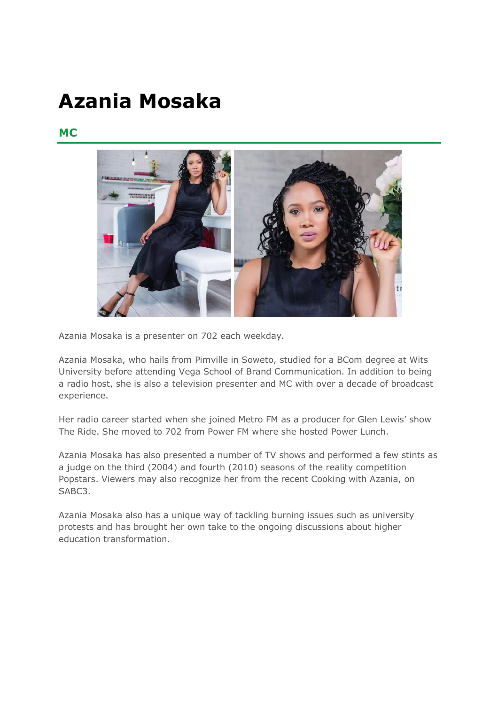## **Azania Mosaka**

## **MC**



Azania Mosaka is a presenter on 702 each weekday.

Azania Mosaka, who hails from Pimville in Soweto, studied for a BCom degree at Wits University before attending Vega School of Brand Communication. In addition to being a radio host, she is also a television presenter and MC with over a decade of broadcast experience.

Her radio career started when she joined Metro FM as a producer for Glen Lewis' show The Ride. She moved to 702 from Power FM where she hosted Power Lunch.

Azania Mosaka has also presented a number of TV shows and performed a few stints as a judge on the third (2004) and fourth (2010) seasons of the reality competition Popstars. Viewers may also recognize her from the recent Cooking with Azania, on SABC3.

Azania Mosaka also has a unique way of tackling burning issues such as university protests and has brought her own take to the ongoing discussions about higher education transformation.